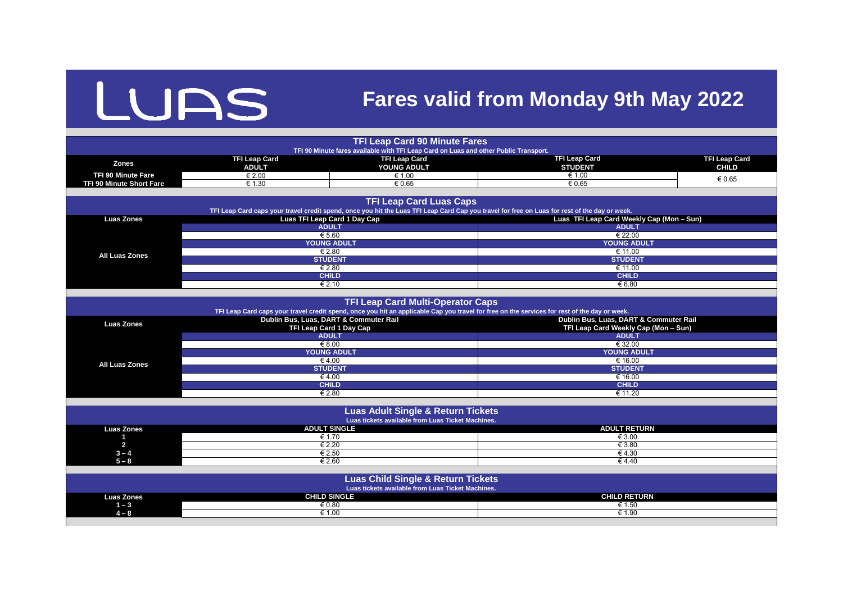## LUAS

## **Fares valid from Monday 9th May 2022**

|                                                                                                                                                                                 |                                                                          | <b>TFI Leap Card 90 Minute Fares</b>                                                                                                         |                                           |                                      |  |  |
|---------------------------------------------------------------------------------------------------------------------------------------------------------------------------------|--------------------------------------------------------------------------|----------------------------------------------------------------------------------------------------------------------------------------------|-------------------------------------------|--------------------------------------|--|--|
| TFI 90 Minute fares available with TFI Leap Card on Luas and other Public Transport.                                                                                            |                                                                          |                                                                                                                                              |                                           |                                      |  |  |
| <b>Zones</b>                                                                                                                                                                    | <b>TFI Leap Card</b><br><b>ADULT</b>                                     | <b>TFI Leap Card</b><br>YOUNG ADULT                                                                                                          | <b>TFI Leap Card</b><br><b>STUDENT</b>    | <b>TFI Leap Card</b><br><b>CHILD</b> |  |  |
| <b>TFI 90 Minute Fare</b>                                                                                                                                                       | € 2.00                                                                   | € 1.00<br>€ 1.00                                                                                                                             |                                           | € 0.65                               |  |  |
| <b>TFI 90 Minute Short Fare</b>                                                                                                                                                 | € 0.65<br>€ 1.30<br>€ 0.65                                               |                                                                                                                                              |                                           |                                      |  |  |
|                                                                                                                                                                                 |                                                                          |                                                                                                                                              |                                           |                                      |  |  |
| <b>TFI Leap Card Luas Caps</b><br>TFI Leap Card caps your travel credit spend, once you hit the Luas TFI Leap Card Cap you travel for free on Luas for rest of the day or week. |                                                                          |                                                                                                                                              |                                           |                                      |  |  |
| <b>Luas Zones</b>                                                                                                                                                               | <b>Luas TFI Leap Card 1 Day Cap</b>                                      |                                                                                                                                              | Luas TFI Leap Card Weekly Cap (Mon - Sun) |                                      |  |  |
|                                                                                                                                                                                 |                                                                          | <b>ADULT</b>                                                                                                                                 | <b>ADULT</b>                              |                                      |  |  |
|                                                                                                                                                                                 |                                                                          | € 5.60                                                                                                                                       |                                           | € 22.00                              |  |  |
|                                                                                                                                                                                 |                                                                          | <b>YOUNG ADULT</b>                                                                                                                           |                                           | <b>YOUNG ADULT</b>                   |  |  |
| <b>All Luas Zones</b>                                                                                                                                                           |                                                                          | € 2.80                                                                                                                                       | € 11.00                                   |                                      |  |  |
|                                                                                                                                                                                 |                                                                          | <b>STUDENT</b>                                                                                                                               | <b>STUDENT</b>                            |                                      |  |  |
|                                                                                                                                                                                 |                                                                          | € 2.80                                                                                                                                       | € 11.00                                   |                                      |  |  |
|                                                                                                                                                                                 |                                                                          | <b>CHILD</b>                                                                                                                                 | <b>CHILD</b>                              |                                      |  |  |
|                                                                                                                                                                                 |                                                                          | € 2.10                                                                                                                                       | € 6.80                                    |                                      |  |  |
|                                                                                                                                                                                 |                                                                          |                                                                                                                                              |                                           |                                      |  |  |
|                                                                                                                                                                                 |                                                                          | <b>TFI Leap Card Multi-Operator Caps</b>                                                                                                     |                                           |                                      |  |  |
|                                                                                                                                                                                 |                                                                          | TFI Leap Card caps your travel credit spend, once you hit an applicable Cap you travel for free on the services for rest of the day or week. | Dublin Bus, Luas, DART & Commuter Rail    |                                      |  |  |
| <b>Luas Zones</b>                                                                                                                                                               | Dublin Bus, Luas, DART & Commuter Rail<br><b>TFI Leap Card 1 Day Cap</b> |                                                                                                                                              | TFI Leap Card Weekly Cap (Mon - Sun)      |                                      |  |  |
|                                                                                                                                                                                 | <b>ADULT</b>                                                             |                                                                                                                                              | <b>ADULT</b>                              |                                      |  |  |
|                                                                                                                                                                                 | € 8.00                                                                   |                                                                                                                                              | $\xi$ 32.00                               |                                      |  |  |
|                                                                                                                                                                                 | <b>YOUNG ADULT</b>                                                       |                                                                                                                                              | <b>YOUNG ADULT</b>                        |                                      |  |  |
|                                                                                                                                                                                 | €4.00                                                                    |                                                                                                                                              | € 16.00                                   |                                      |  |  |
| <b>All Luas Zones</b>                                                                                                                                                           |                                                                          | <b>STUDENT</b>                                                                                                                               |                                           | <b>STUDENT</b>                       |  |  |
|                                                                                                                                                                                 |                                                                          | €4.00                                                                                                                                        |                                           | € 16.00                              |  |  |
|                                                                                                                                                                                 |                                                                          | <b>CHILD</b>                                                                                                                                 | <b>CHILD</b>                              |                                      |  |  |
|                                                                                                                                                                                 |                                                                          | € 2.80                                                                                                                                       | $\overline{\epsilon}$ 11.20               |                                      |  |  |
|                                                                                                                                                                                 |                                                                          |                                                                                                                                              |                                           |                                      |  |  |
|                                                                                                                                                                                 |                                                                          | <b>Luas Adult Single &amp; Return Tickets</b>                                                                                                |                                           |                                      |  |  |
|                                                                                                                                                                                 |                                                                          | Luas tickets available from Luas Ticket Machines.                                                                                            |                                           |                                      |  |  |
| <b>Luas Zones</b>                                                                                                                                                               |                                                                          | <b>ADULT SINGLE</b>                                                                                                                          | <b>ADULT RETURN</b>                       |                                      |  |  |
|                                                                                                                                                                                 |                                                                          | € 1.70                                                                                                                                       | € 3.00                                    |                                      |  |  |
| $\overline{\mathbf{2}}$                                                                                                                                                         |                                                                          | € 2.20                                                                                                                                       | € 3.80                                    |                                      |  |  |
| $3 - 4$                                                                                                                                                                         | € 2.50                                                                   |                                                                                                                                              |                                           | € 4.30                               |  |  |
| $5 - 8$                                                                                                                                                                         | € 2.60<br>€ 4.40                                                         |                                                                                                                                              |                                           |                                      |  |  |
|                                                                                                                                                                                 |                                                                          |                                                                                                                                              |                                           |                                      |  |  |
| <b>Luas Child Single &amp; Return Tickets</b><br>Luas tickets available from Luas Ticket Machines.                                                                              |                                                                          |                                                                                                                                              |                                           |                                      |  |  |
| <b>Luas Zones</b>                                                                                                                                                               | <b>CHILD SINGLE</b>                                                      |                                                                                                                                              | <b>CHILD RETURN</b>                       |                                      |  |  |
| $1 - 3$                                                                                                                                                                         |                                                                          | € 0.80                                                                                                                                       | € 1.50                                    |                                      |  |  |
| $4 - 8$                                                                                                                                                                         |                                                                          | € 1.00<br>$\epsilon$ 1.90                                                                                                                    |                                           |                                      |  |  |
|                                                                                                                                                                                 |                                                                          |                                                                                                                                              |                                           |                                      |  |  |

|                   | <b>ENGO HURCIO GYGHGDIO II UIII ENGO TIURCI MAUINICO.</b> |  |  |
|-------------------|-----------------------------------------------------------|--|--|
| <b>Luas Zones</b> | <b>ADULT SINGLE</b>                                       |  |  |
|                   | € 1.70                                                    |  |  |
|                   | € 2.20                                                    |  |  |
| ົ<br>$3 - 4$      | € 2.50                                                    |  |  |
| $-8$<br>Б         | € 2.60                                                    |  |  |
|                   |                                                           |  |  |

|                                 |                                                     | <b>TFI Leap Card 90 Minute Fares</b>                                                                                                          |                                                           |                      |  |  |
|---------------------------------|-----------------------------------------------------|-----------------------------------------------------------------------------------------------------------------------------------------------|-----------------------------------------------------------|----------------------|--|--|
|                                 |                                                     | TFI 90 Minute fares available with TFI Leap Card on Luas and other Public Transport.                                                          |                                                           |                      |  |  |
| <b>Zones</b>                    | <b>TFI Leap Card</b>                                | <b>TFI Leap Card</b>                                                                                                                          | <b>TFI Leap Card</b>                                      | <b>TFI Leap Card</b> |  |  |
|                                 | <b>ADULT</b>                                        | YOUNG ADULT                                                                                                                                   | <b>STUDENT</b>                                            | <b>CHILD</b>         |  |  |
| <b>TFI 90 Minute Fare</b>       | € 2.00                                              | € 1.00                                                                                                                                        | $\overline{\epsilon}$ 1.00                                | € 0.65               |  |  |
| <b>TFI 90 Minute Short Fare</b> | € 1.30                                              | € 0.65                                                                                                                                        | € 0.65                                                    |                      |  |  |
|                                 |                                                     |                                                                                                                                               |                                                           |                      |  |  |
|                                 |                                                     | <b>TFI Leap Card Luas Caps</b>                                                                                                                |                                                           |                      |  |  |
|                                 |                                                     | TFI Leap Card caps your travel credit spend, once you hit the Luas TFI Leap Card Cap you travel for free on Luas for rest of the day or week. |                                                           |                      |  |  |
| <b>Luas Zones</b>               | <b>Luas TFI Leap Card 1 Day Cap</b><br><b>ADULT</b> |                                                                                                                                               | Luas TFI Leap Card Weekly Cap (Mon - Sun)<br><b>ADULT</b> |                      |  |  |
|                                 | € 5.60                                              |                                                                                                                                               | € 22.00                                                   |                      |  |  |
|                                 |                                                     | <b>YOUNG ADULT</b>                                                                                                                            |                                                           | <b>YOUNG ADULT</b>   |  |  |
|                                 |                                                     |                                                                                                                                               | € 11.00                                                   |                      |  |  |
| <b>All Luas Zones</b>           |                                                     | € 2.80<br><b>STUDENT</b>                                                                                                                      |                                                           | <b>STUDENT</b>       |  |  |
|                                 |                                                     | € 2.80                                                                                                                                        | € 11.00                                                   |                      |  |  |
|                                 |                                                     | <b>CHILD</b>                                                                                                                                  | <b>CHILD</b>                                              |                      |  |  |
|                                 |                                                     | € 2.10                                                                                                                                        | € 6.80                                                    |                      |  |  |
|                                 |                                                     |                                                                                                                                               |                                                           |                      |  |  |
|                                 |                                                     | <b>TFI Leap Card Multi-Operator Caps</b>                                                                                                      |                                                           |                      |  |  |
|                                 |                                                     | TFI Leap Card caps your travel credit spend, once you hit an applicable Cap you travel for free on the services for rest of the day or week.  |                                                           |                      |  |  |
|                                 |                                                     | Dublin Bus, Luas, DART & Commuter Rail                                                                                                        | Dublin Bus, Luas, DART & Commuter Rail                    |                      |  |  |
| <b>Luas Zones</b>               | <b>TFI Leap Card 1 Day Cap</b>                      |                                                                                                                                               | TFI Leap Card Weekly Cap (Mon - Sun)                      |                      |  |  |
|                                 | <b>ADULT</b>                                        |                                                                                                                                               | <b>ADULT</b>                                              |                      |  |  |
|                                 | € 8.00                                              |                                                                                                                                               | $\epsilon$ 32.00                                          |                      |  |  |
|                                 |                                                     | <b>YOUNG ADULT</b>                                                                                                                            |                                                           | <b>YOUNG ADULT</b>   |  |  |
| <b>All Luas Zones</b>           | €4.00                                               |                                                                                                                                               | € 16.00                                                   |                      |  |  |
|                                 | <b>STUDENT</b>                                      |                                                                                                                                               | <b>STUDENT</b>                                            |                      |  |  |
|                                 | € 4.00                                              |                                                                                                                                               | € 16.00                                                   |                      |  |  |
|                                 | <b>CHILD</b>                                        |                                                                                                                                               | <b>CHILD</b>                                              |                      |  |  |
|                                 |                                                     | € 2.80                                                                                                                                        | € 11.20                                                   |                      |  |  |
|                                 |                                                     |                                                                                                                                               |                                                           |                      |  |  |
|                                 |                                                     | <b>Luas Adult Single &amp; Return Tickets</b>                                                                                                 |                                                           |                      |  |  |
|                                 |                                                     | Luas tickets available from Luas Ticket Machines.                                                                                             |                                                           |                      |  |  |
| <b>Luas Zones</b>               |                                                     | <b>ADULT SINGLE</b>                                                                                                                           | <b>ADULT RETURN</b>                                       |                      |  |  |
|                                 |                                                     | € 1.70                                                                                                                                        | € 3.00                                                    |                      |  |  |
| $\overline{2}$                  |                                                     | € 2.20                                                                                                                                        | € 3.80<br>€ 4.30                                          |                      |  |  |
| $3 - 4$                         |                                                     | € 2.50                                                                                                                                        |                                                           |                      |  |  |
| $5 - 8$                         |                                                     | € 2.60                                                                                                                                        | € 4.40                                                    |                      |  |  |
|                                 |                                                     |                                                                                                                                               |                                                           |                      |  |  |
|                                 |                                                     | <b>Luas Child Single &amp; Return Tickets</b>                                                                                                 |                                                           |                      |  |  |
|                                 |                                                     | Luas tickets available from Luas Ticket Machines.                                                                                             |                                                           |                      |  |  |
| <b>Luas Zones</b>               |                                                     | <b>CHILD SINGLE</b><br><b>CHILD RETURN</b>                                                                                                    |                                                           |                      |  |  |
| $1 - 3$                         | € 0.80                                              |                                                                                                                                               | € 1.50                                                    |                      |  |  |
| $4 - 8$                         |                                                     | € 1.00                                                                                                                                        | € 1.90                                                    |                      |  |  |